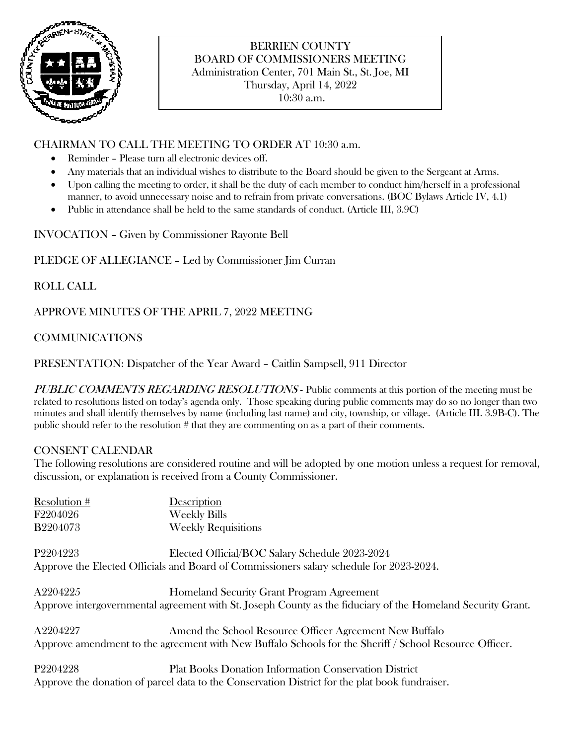

# BERRIEN COUNTY BOARD OF COMMISSIONERS MEETING Administration Center, 701 Main St., St. Joe, MI Thursday, April 14, 2022

10:30 a.m.

### CHAIRMAN TO CALL THE MEETING TO ORDER AT 10:30 a.m.

- Reminder Please turn all electronic devices off.
- Any materials that an individual wishes to distribute to the Board should be given to the Sergeant at Arms.
- Upon calling the meeting to order, it shall be the duty of each member to conduct him/herself in a professional manner, to avoid unnecessary noise and to refrain from private conversations. (BOC Bylaws Article IV, 4.1)
- Public in attendance shall be held to the same standards of conduct. (Article III, 3.9C)

INVOCATION – Given by Commissioner Rayonte Bell

PLEDGE OF ALLEGIANCE – Led by Commissioner Jim Curran

ROLL CALL

APPROVE MINUTES OF THE APRIL 7, 2022 MEETING

## COMMUNICATIONS

PRESENTATION: Dispatcher of the Year Award – Caitlin Sampsell, 911 Director

PUBLIC COMMENTS REGARDING RESOLUTIONS - Public comments at this portion of the meeting must be related to resolutions listed on today's agenda only. Those speaking during public comments may do so no longer than two minutes and shall identify themselves by name (including last name) and city, township, or village. (Article III. 3.9B-C). The public should refer to the resolution # that they are commenting on as a part of their comments.

### CONSENT CALENDAR

The following resolutions are considered routine and will be adopted by one motion unless a request for removal, discussion, or explanation is received from a County Commissioner.

| Resolution #                                                                            | Description                                                                                                 |
|-----------------------------------------------------------------------------------------|-------------------------------------------------------------------------------------------------------------|
| F2204026                                                                                | <b>Weekly Bills</b>                                                                                         |
| <b>B2204073</b>                                                                         | <b>Weekly Requisitions</b>                                                                                  |
| P <sub>2204223</sub>                                                                    | Elected Official/BOC Salary Schedule 2023-2024                                                              |
| Approve the Elected Officials and Board of Commissioners salary schedule for 2023-2024. |                                                                                                             |
| A2204225                                                                                | Homeland Security Grant Program Agreement                                                                   |
|                                                                                         | Approve intergovernmental agreement with St. Joseph County as the fiduciary of the Homeland Security Grant. |
| A2204227                                                                                | Amend the School Resource Officer Agreement New Buffalo                                                     |
|                                                                                         | Approve amendment to the agreement with New Buffalo Schools for the Sheriff / School Resource Officer.      |
| P <sub>2204228</sub>                                                                    | <b>Plat Books Donation Information Conservation District</b>                                                |
|                                                                                         | Approve the donation of parcel data to the Conservation District for the plat book fundraiser.              |